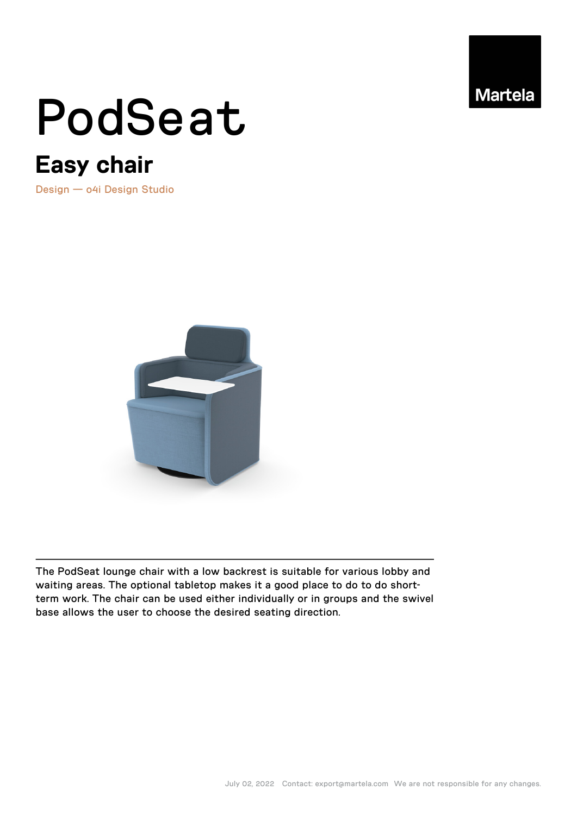

# PodSeat

## **Easy chair**

Design — o4i Design Studio



The PodSeat lounge chair with a low backrest is suitable for various lobby and waiting areas. The optional tabletop makes it a good place to do to do shortterm work. The chair can be used either individually or in groups and the swivel base allows the user to choose the desired seating direction.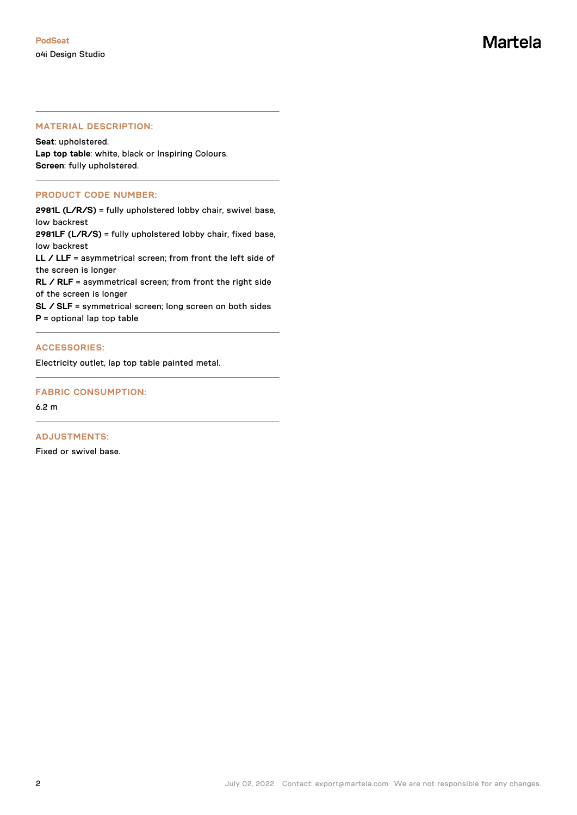#### **MATERIAL DESCRIPTION:**

**Seat**: upholstered. **Lap top table**: white, black or Inspiring Colours. **Screen**: fully upholstered.

#### **PRODUCT CODE NUMBER:**

**2981L (L/R/S)** = fully upholstered lobby chair, swivel base, low backrest

**2981LF (L/R/S)** = fully upholstered lobby chair, fixed base, low backrest

**LL / LLF** = asymmetrical screen; from front the left side of the screen is longer

**RL / RLF** = asymmetrical screen; from front the right side of the screen is longer

**SL / SLF** = symmetrical screen; long screen on both sides

**P** = optional lap top table

#### **ACCESSORIES:**

Electricity outlet, lap top table painted metal.

#### **FABRIC CONSUMPTION:**

6.2 m

#### **ADJUSTMENTS:**

Fixed or swivel base.